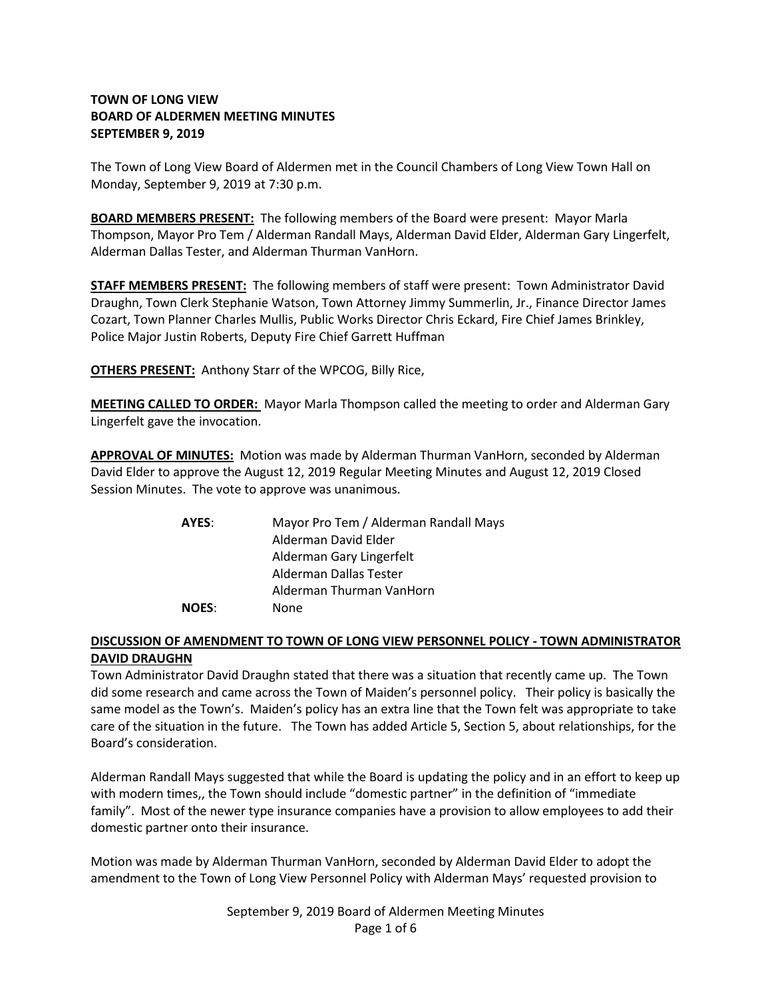# **TOWN OF LONG VIEW BOARD OF ALDERMEN MEETING MINUTES SEPTEMBER 9, 2019**

The Town of Long View Board of Aldermen met in the Council Chambers of Long View Town Hall on Monday, September 9, 2019 at 7:30 p.m.

**BOARD MEMBERS PRESENT:** The following members of the Board were present: Mayor Marla Thompson, Mayor Pro Tem / Alderman Randall Mays, Alderman David Elder, Alderman Gary Lingerfelt, Alderman Dallas Tester, and Alderman Thurman VanHorn.

**STAFF MEMBERS PRESENT:** The following members of staff were present: Town Administrator David Draughn, Town Clerk Stephanie Watson, Town Attorney Jimmy Summerlin, Jr., Finance Director James Cozart, Town Planner Charles Mullis, Public Works Director Chris Eckard, Fire Chief James Brinkley, Police Major Justin Roberts, Deputy Fire Chief Garrett Huffman

**OTHERS PRESENT:** Anthony Starr of the WPCOG, Billy Rice,

**MEETING CALLED TO ORDER:** Mayor Marla Thompson called the meeting to order and Alderman Gary Lingerfelt gave the invocation.

**APPROVAL OF MINUTES:** Motion was made by Alderman Thurman VanHorn, seconded by Alderman David Elder to approve the August 12, 2019 Regular Meeting Minutes and August 12, 2019 Closed Session Minutes. The vote to approve was unanimous.

| AYES:        | Mayor Pro Tem / Alderman Randall Mays |
|--------------|---------------------------------------|
|              | Alderman David Elder                  |
|              | Alderman Gary Lingerfelt              |
|              | Alderman Dallas Tester                |
|              | Alderman Thurman VanHorn              |
| <b>NOES:</b> | <b>None</b>                           |

# **DISCUSSION OF AMENDMENT TO TOWN OF LONG VIEW PERSONNEL POLICY - TOWN ADMINISTRATOR DAVID DRAUGHN**

Town Administrator David Draughn stated that there was a situation that recently came up. The Town did some research and came across the Town of Maiden's personnel policy. Their policy is basically the same model as the Town's. Maiden's policy has an extra line that the Town felt was appropriate to take care of the situation in the future. The Town has added Article 5, Section 5, about relationships, for the Board's consideration.

Alderman Randall Mays suggested that while the Board is updating the policy and in an effort to keep up with modern times,, the Town should include "domestic partner" in the definition of "immediate family". Most of the newer type insurance companies have a provision to allow employees to add their domestic partner onto their insurance.

Motion was made by Alderman Thurman VanHorn, seconded by Alderman David Elder to adopt the amendment to the Town of Long View Personnel Policy with Alderman Mays' requested provision to

> September 9, 2019 Board of Aldermen Meeting Minutes Page 1 of 6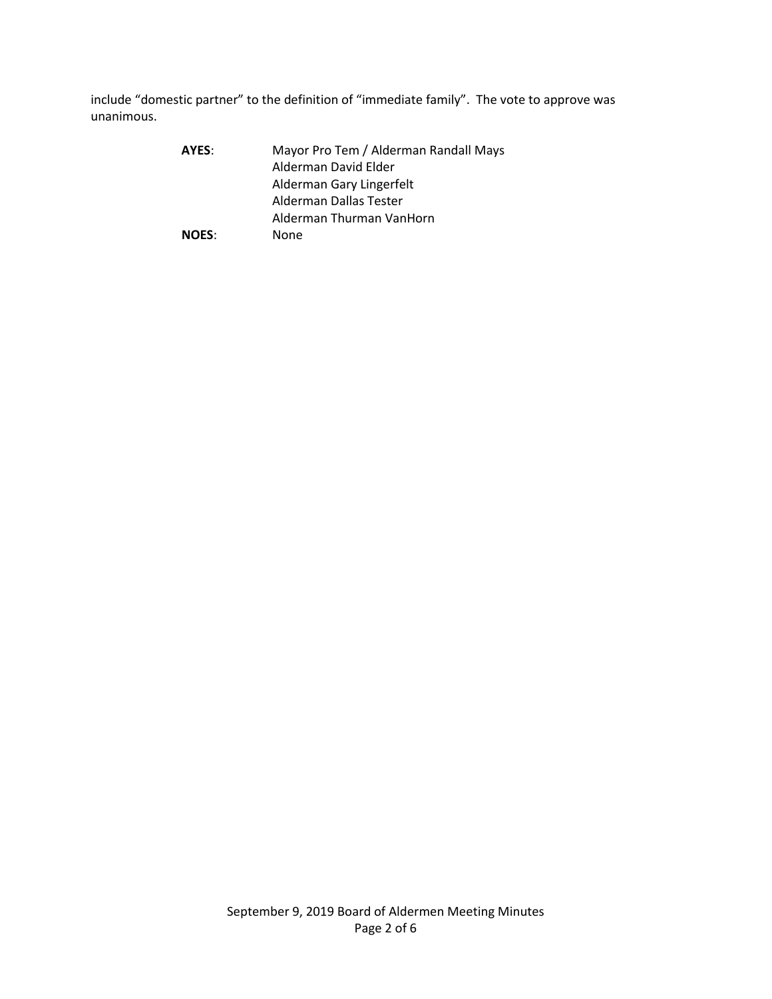include "domestic partner" to the definition of "immediate family". The vote to approve was unanimous.

| AYES:        | Mayor Pro Tem / Alderman Randall Mays |
|--------------|---------------------------------------|
|              | Alderman David Elder                  |
|              | Alderman Gary Lingerfelt              |
|              | Alderman Dallas Tester                |
|              | Alderman Thurman VanHorn              |
| <b>NOES:</b> | None                                  |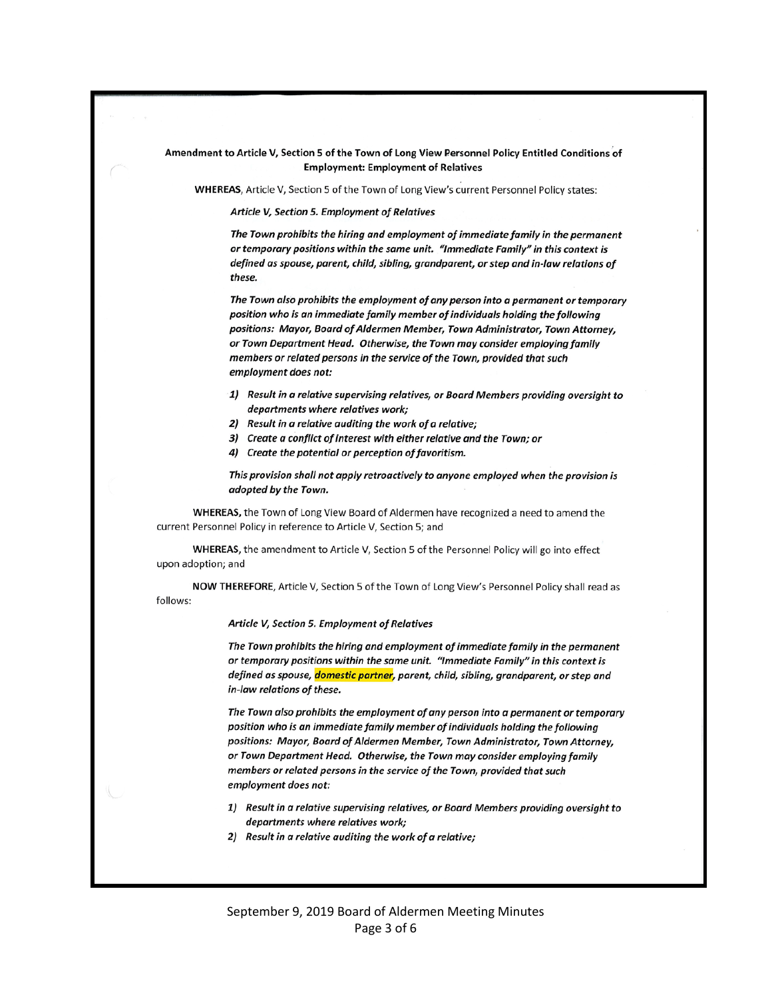#### Amendment to Article V, Section 5 of the Town of Long View Personnel Policy Entitled Conditions of **Employment: Employment of Relatives**

WHEREAS, Article V, Section 5 of the Town of Long View's current Personnel Policy states:

Article V, Section 5. Employment of Relatives

The Town prohibits the hiring and employment of immediate family in the permanent or temporary positions within the same unit. "Immediate Family" in this context is defined as spouse, parent, child, sibling, grandparent, or step and in-law relations of these.

The Town also prohibits the employment of any person into a permanent or temporary position who is an immediate family member of individuals holding the following positions: Mayor, Board of Aldermen Member, Town Administrator, Town Attorney, or Town Department Head. Otherwise, the Town may consider employing family members or related persons in the service of the Town, provided that such employment does not:

- 1) Result in a relative supervising relatives, or Board Members providing oversight to departments where relatives work;
- 2) Result in a relative auditing the work of a relative;
- 3) Create a conflict of interest with either relative and the Town; or
- 4) Create the potential or perception of favoritism.

This provision shall not apply retroactively to anyone employed when the provision is adopted by the Town.

WHEREAS, the Town of Long View Board of Aldermen have recognized a need to amend the current Personnel Policy in reference to Article V, Section 5; and

WHEREAS, the amendment to Article V, Section 5 of the Personnel Policy will go into effect upon adoption; and

NOW THEREFORE, Article V, Section 5 of the Town of Long View's Personnel Policy shall read as follows:

Article V, Section 5. Employment of Relatives

The Town prohibits the hiring and employment of immediate family in the permanent or temporary positions within the same unit. "Immediate Family" in this context is defined as spouse, domestic partner, parent, child, sibling, grandparent, or step and in-law relations of these.

The Town also prohibits the employment of any person into a permanent or temporary position who is an immediate family member of individuals holding the following positions: Mayor, Board of Aldermen Member, Town Administrator, Town Attorney, or Town Department Head. Otherwise, the Town may consider employing family members or related persons in the service of the Town, provided that such employment does not:

- 1) Result in a relative supervising relatives, or Board Members providing oversight to departments where relatives work;
- 2) Result in a relative auditing the work of a relative;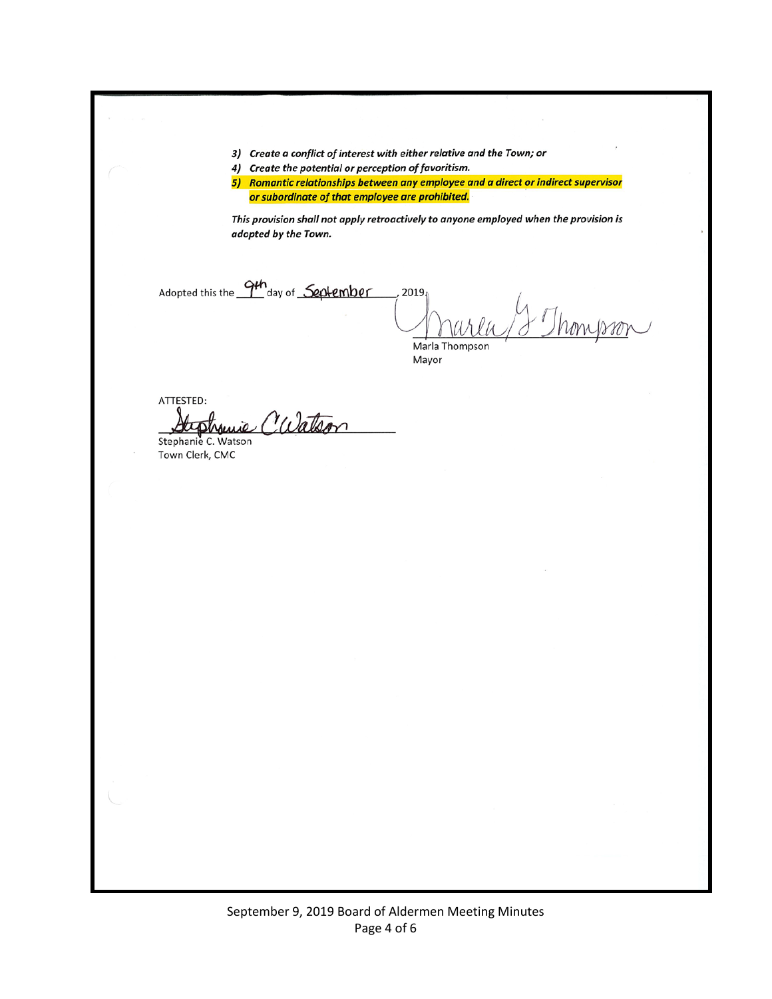3) Create a conflict of interest with either relative and the Town; or

4) Create the potential or perception of favoritism.

5) Romantic relationships between any employee and a direct or indirect supervisor or subordinate of that employee are prohibited.

This provision shall not apply retroactively to anyone employed when the provision is adopted by the Town.

Adopted this the 9th day of September  $2019$ 

Marla Thompson Mayor

ATTESTED: Juie Calatson

Stephanie C. Watson Town Clerk, CMC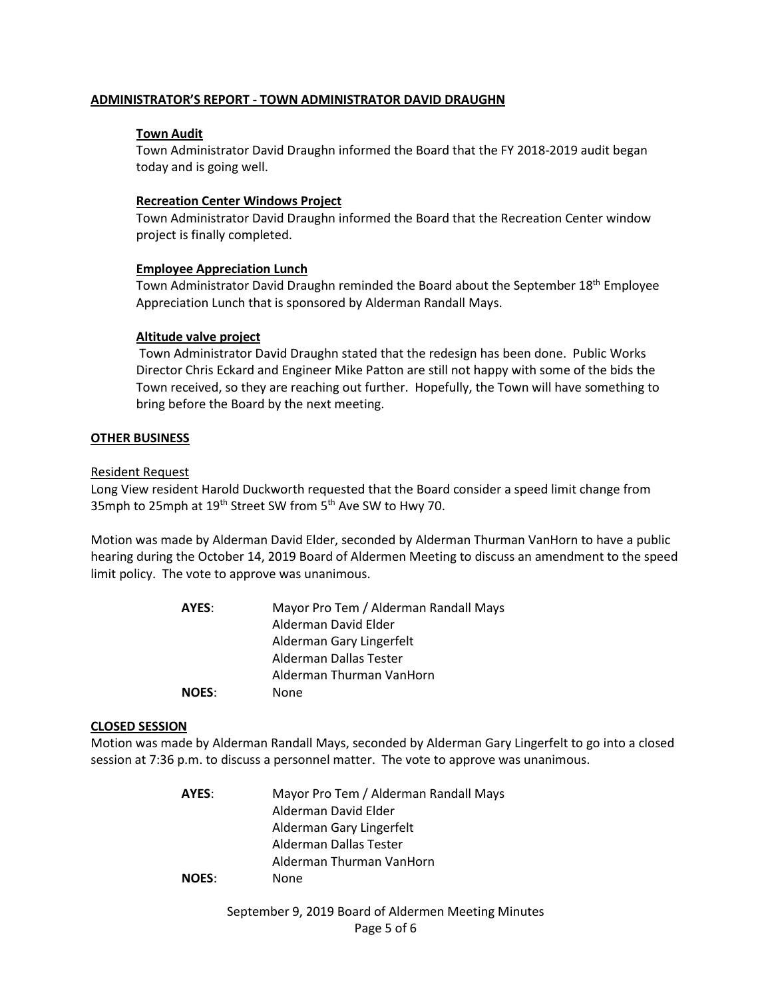## **ADMINISTRATOR'S REPORT - TOWN ADMINISTRATOR DAVID DRAUGHN**

## **Town Audit**

Town Administrator David Draughn informed the Board that the FY 2018-2019 audit began today and is going well.

### **Recreation Center Windows Project**

Town Administrator David Draughn informed the Board that the Recreation Center window project is finally completed.

# **Employee Appreciation Lunch**

Town Administrator David Draughn reminded the Board about the September 18<sup>th</sup> Employee Appreciation Lunch that is sponsored by Alderman Randall Mays.

# **Altitude valve project**

Town Administrator David Draughn stated that the redesign has been done. Public Works Director Chris Eckard and Engineer Mike Patton are still not happy with some of the bids the Town received, so they are reaching out further. Hopefully, the Town will have something to bring before the Board by the next meeting.

### **OTHER BUSINESS**

### Resident Request

Long View resident Harold Duckworth requested that the Board consider a speed limit change from 35mph to 25mph at 19<sup>th</sup> Street SW from 5<sup>th</sup> Ave SW to Hwy 70.

Motion was made by Alderman David Elder, seconded by Alderman Thurman VanHorn to have a public hearing during the October 14, 2019 Board of Aldermen Meeting to discuss an amendment to the speed limit policy. The vote to approve was unanimous.

| AYES:        | Mayor Pro Tem / Alderman Randall Mays |
|--------------|---------------------------------------|
|              | Alderman David Elder                  |
|              | Alderman Gary Lingerfelt              |
|              | Alderman Dallas Tester                |
|              | Alderman Thurman VanHorn              |
| <b>NOES:</b> | None                                  |

### **CLOSED SESSION**

Motion was made by Alderman Randall Mays, seconded by Alderman Gary Lingerfelt to go into a closed session at 7:36 p.m. to discuss a personnel matter. The vote to approve was unanimous.

> **AYES**: Mayor Pro Tem / Alderman Randall Mays Alderman David Elder Alderman Gary Lingerfelt Alderman Dallas Tester Alderman Thurman VanHorn **NOES**: None

# September 9, 2019 Board of Aldermen Meeting Minutes Page 5 of 6